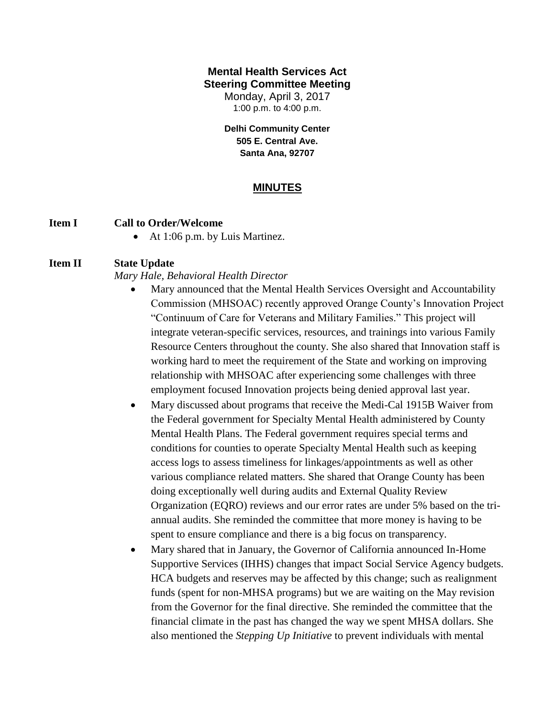#### **Mental Health Services Act Steering Committee Meeting**

Monday, April 3, 2017 1:00 p.m. to 4:00 p.m.

**Delhi Community Center 505 E. Central Ave. Santa Ana, 92707**

## **MINUTES**

#### **Item I Call to Order/Welcome**

• At 1:06 p.m. by Luis Martinez.

#### **Item II State Update**

*Mary Hale, Behavioral Health Director*

- Mary announced that the Mental Health Services Oversight and Accountability Commission (MHSOAC) recently approved Orange County's Innovation Project "Continuum of Care for Veterans and Military Families." This project will integrate veteran-specific services, resources, and trainings into various Family Resource Centers throughout the county. She also shared that Innovation staff is working hard to meet the requirement of the State and working on improving relationship with MHSOAC after experiencing some challenges with three employment focused Innovation projects being denied approval last year.
- Mary discussed about programs that receive the Medi-Cal 1915B Waiver from the Federal government for Specialty Mental Health administered by County Mental Health Plans. The Federal government requires special terms and conditions for counties to operate Specialty Mental Health such as keeping access logs to assess timeliness for linkages/appointments as well as other various compliance related matters. She shared that Orange County has been doing exceptionally well during audits and External Quality Review Organization (EQRO) reviews and our error rates are under 5% based on the triannual audits. She reminded the committee that more money is having to be spent to ensure compliance and there is a big focus on transparency.
- Mary shared that in January, the Governor of California announced In-Home Supportive Services (IHHS) changes that impact Social Service Agency budgets. HCA budgets and reserves may be affected by this change; such as realignment funds (spent for non-MHSA programs) but we are waiting on the May revision from the Governor for the final directive. She reminded the committee that the financial climate in the past has changed the way we spent MHSA dollars. She also mentioned the *Stepping Up Initiative* to prevent individuals with mental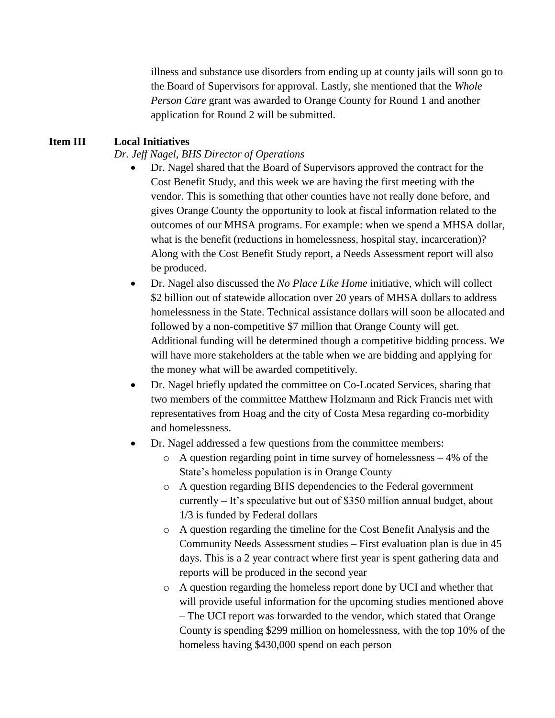illness and substance use disorders from ending up at county jails will soon go to the Board of Supervisors for approval. Lastly, she mentioned that the *Whole Person Care* grant was awarded to Orange County for Round 1 and another application for Round 2 will be submitted.

## **Item III Local Initiatives**

*Dr. Jeff Nagel, BHS Director of Operations*

- Dr. Nagel shared that the Board of Supervisors approved the contract for the Cost Benefit Study, and this week we are having the first meeting with the vendor. This is something that other counties have not really done before, and gives Orange County the opportunity to look at fiscal information related to the outcomes of our MHSA programs. For example: when we spend a MHSA dollar, what is the benefit (reductions in homelessness, hospital stay, incarceration)? Along with the Cost Benefit Study report, a Needs Assessment report will also be produced.
- Dr. Nagel also discussed the *No Place Like Home* initiative, which will collect \$2 billion out of statewide allocation over 20 years of MHSA dollars to address homelessness in the State. Technical assistance dollars will soon be allocated and followed by a non-competitive \$7 million that Orange County will get. Additional funding will be determined though a competitive bidding process. We will have more stakeholders at the table when we are bidding and applying for the money what will be awarded competitively.
- Dr. Nagel briefly updated the committee on Co-Located Services, sharing that two members of the committee Matthew Holzmann and Rick Francis met with representatives from Hoag and the city of Costa Mesa regarding co-morbidity and homelessness.
- Dr. Nagel addressed a few questions from the committee members:
	- o A question regarding point in time survey of homelessness 4% of the State's homeless population is in Orange County
	- o A question regarding BHS dependencies to the Federal government currently – It's speculative but out of \$350 million annual budget, about 1/3 is funded by Federal dollars
	- o A question regarding the timeline for the Cost Benefit Analysis and the Community Needs Assessment studies – First evaluation plan is due in 45 days. This is a 2 year contract where first year is spent gathering data and reports will be produced in the second year
	- o A question regarding the homeless report done by UCI and whether that will provide useful information for the upcoming studies mentioned above – The UCI report was forwarded to the vendor, which stated that Orange County is spending \$299 million on homelessness, with the top 10% of the homeless having \$430,000 spend on each person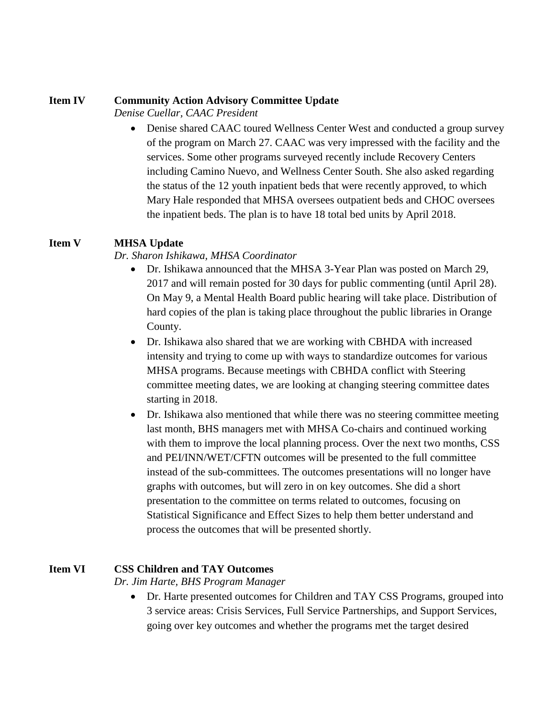#### **Item IV Community Action Advisory Committee Update**

*Denise Cuellar, CAAC President*

• Denise shared CAAC toured Wellness Center West and conducted a group survey of the program on March 27. CAAC was very impressed with the facility and the services. Some other programs surveyed recently include Recovery Centers including Camino Nuevo, and Wellness Center South. She also asked regarding the status of the 12 youth inpatient beds that were recently approved, to which Mary Hale responded that MHSA oversees outpatient beds and CHOC oversees the inpatient beds. The plan is to have 18 total bed units by April 2018.

## **Item V MHSA Update**

#### *Dr. Sharon Ishikawa, MHSA Coordinator*

- Dr. Ishikawa announced that the MHSA 3-Year Plan was posted on March 29, 2017 and will remain posted for 30 days for public commenting (until April 28). On May 9, a Mental Health Board public hearing will take place. Distribution of hard copies of the plan is taking place throughout the public libraries in Orange County.
- Dr. Ishikawa also shared that we are working with CBHDA with increased intensity and trying to come up with ways to standardize outcomes for various MHSA programs. Because meetings with CBHDA conflict with Steering committee meeting dates, we are looking at changing steering committee dates starting in 2018.
- Dr. Ishikawa also mentioned that while there was no steering committee meeting last month, BHS managers met with MHSA Co-chairs and continued working with them to improve the local planning process. Over the next two months, CSS and PEI/INN/WET/CFTN outcomes will be presented to the full committee instead of the sub-committees. The outcomes presentations will no longer have graphs with outcomes, but will zero in on key outcomes. She did a short presentation to the committee on terms related to outcomes, focusing on Statistical Significance and Effect Sizes to help them better understand and process the outcomes that will be presented shortly.

## **Item VI CSS Children and TAY Outcomes**

*Dr. Jim Harte, BHS Program Manager*

• Dr. Harte presented outcomes for Children and TAY CSS Programs, grouped into 3 service areas: Crisis Services, Full Service Partnerships, and Support Services, going over key outcomes and whether the programs met the target desired